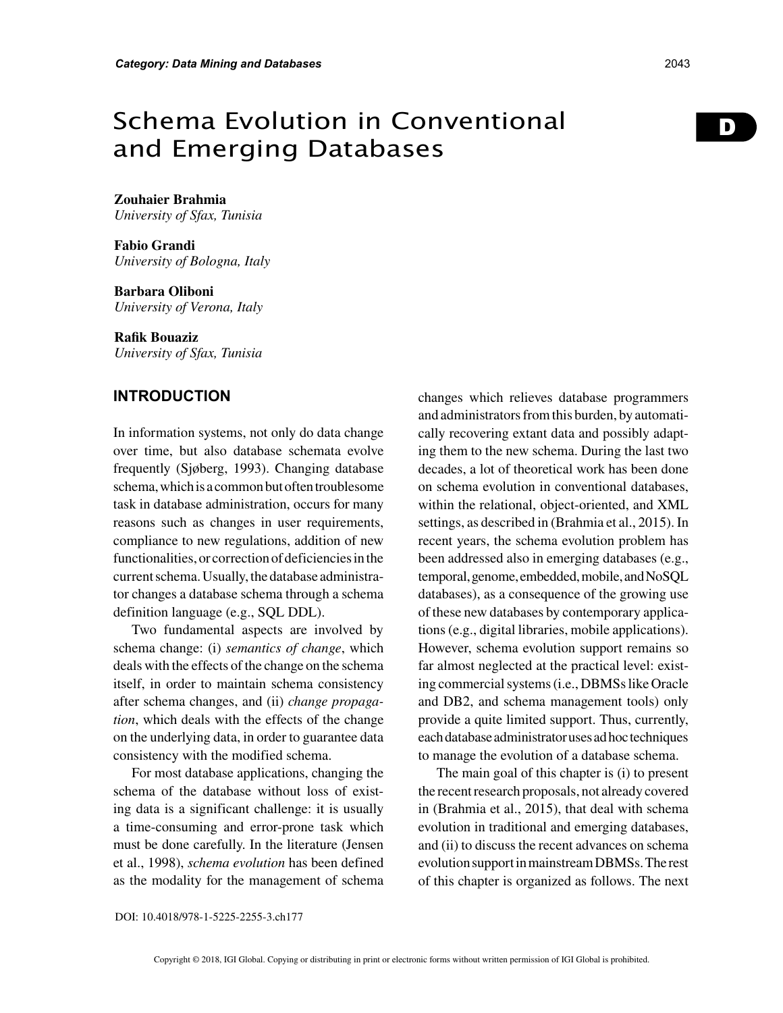# Schema Evolution in Conventional and Emerging Databases

D

## **Zouhaier Brahmia** *University of Sfax, Tunisia*

**Fabio Grandi** *University of Bologna, Italy*

**Barbara Oliboni** *University of Verona, Italy*

**Rafik Bouaziz**

*University of Sfax, Tunisia*

# **INTRODUCTION**

In information systems, not only do data change over time, but also database schemata evolve frequently (Sjøberg, 1993). Changing database schema, which is a common but often troublesome task in database administration, occurs for many reasons such as changes in user requirements, compliance to new regulations, addition of new functionalities, or correction of deficiencies in the current schema. Usually, the database administrator changes a database schema through a schema definition language (e.g., SQL DDL).

Two fundamental aspects are involved by schema change: (i) *semantics of change*, which deals with the effects of the change on the schema itself, in order to maintain schema consistency after schema changes, and (ii) *change propagation*, which deals with the effects of the change on the underlying data, in order to guarantee data consistency with the modified schema.

For most database applications, changing the schema of the database without loss of existing data is a significant challenge: it is usually a time-consuming and error-prone task which must be done carefully. In the literature (Jensen et al., 1998), *schema evolution* has been defined as the modality for the management of schema changes which relieves database programmers and administrators from this burden, by automatically recovering extant data and possibly adapting them to the new schema. During the last two decades, a lot of theoretical work has been done on schema evolution in conventional databases, within the relational, object-oriented, and XML settings, as described in (Brahmia et al., 2015). In recent years, the schema evolution problem has been addressed also in emerging databases (e.g., temporal, genome, embedded, mobile, and NoSQL databases), as a consequence of the growing use of these new databases by contemporary applications (e.g., digital libraries, mobile applications). However, schema evolution support remains so far almost neglected at the practical level: existing commercial systems (i.e., DBMSs like Oracle and DB2, and schema management tools) only provide a quite limited support. Thus, currently, each database administrator uses ad hoc techniques to manage the evolution of a database schema.

The main goal of this chapter is (i) to present the recent research proposals, not already covered in (Brahmia et al., 2015), that deal with schema evolution in traditional and emerging databases, and (ii) to discuss the recent advances on schema evolution support in mainstream DBMSs. The rest of this chapter is organized as follows. The next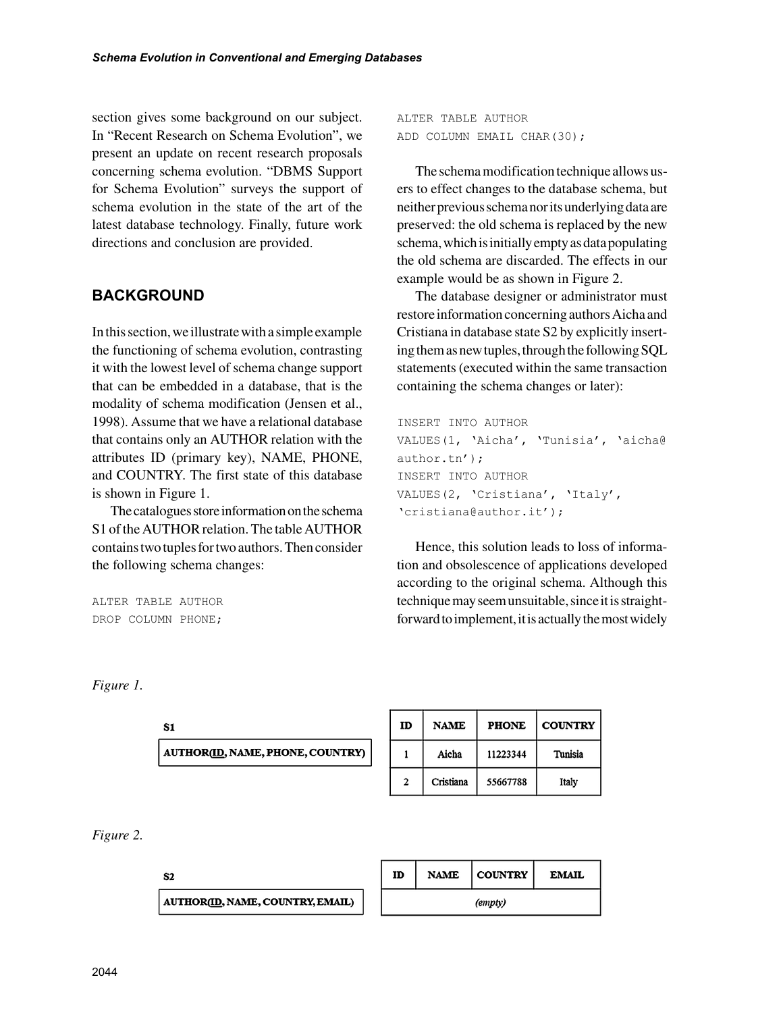section gives some background on our subject. In "Recent Research on Schema Evolution", we present an update on recent research proposals concerning schema evolution. "DBMS Support for Schema Evolution" surveys the support of schema evolution in the state of the art of the latest database technology. Finally, future work directions and conclusion are provided.

## **BACKGROUND**

In this section, we illustrate with a simple example the functioning of schema evolution, contrasting it with the lowest level of schema change support that can be embedded in a database, that is the modality of schema modification (Jensen et al., 1998). Assume that we have a relational database that contains only an AUTHOR relation with the attributes ID (primary key), NAME, PHONE, and COUNTRY. The first state of this database is shown in Figure 1.

The catalogues store information on the schema S1 of the AUTHOR relation. The table AUTHOR contains two tuples for two authors. Then consider the following schema changes:

```
ALTER TABLE AUTHOR
DROP COLUMN PHONE;
```
ALTER TABLE AUTHOR ADD COLUMN EMAIL CHAR(30);

The schema modification technique allows users to effect changes to the database schema, but neither previous schema nor its underlying data are preserved: the old schema is replaced by the new schema, which is initially empty as data populating the old schema are discarded. The effects in our example would be as shown in Figure 2.

The database designer or administrator must restore information concerning authors Aicha and Cristiana in database state S2 by explicitly inserting them as new tuples, through the following SQL statements (executed within the same transaction containing the schema changes or later):

```
INSERT INTO AUTHOR 
VALUES(1, 'Aicha', 'Tunisia', 'aicha@
author.tn');
INSERT INTO AUTHOR
VALUES(2, 'Cristiana', 'Italy', 
'cristiana@author.it');
```
Hence, this solution leads to loss of information and obsolescence of applications developed according to the original schema. Although this technique may seem unsuitable, since it is straightforward to implement, it is actually the most widely

| 1911re |  |
|--------|--|
|--------|--|

 $S<sub>1</sub>$ **AUTHOR(ID, NAME, PHONE, COUNTRY)** 

| ID | <b>NAME</b> | <b>PHONE</b> | <b>COUNTRY</b> |
|----|-------------|--------------|----------------|
|    | Aicha       | 11223344     | Tunisia        |
| 2  | Cristiana   | 55667788     | Italy          |

#### *Figure 2.*

ID **NAME COUNTRY EMAIL**  $S<sub>2</sub>$ AUTHOR(ID, NAME, COUNTRY, EMAIL) (empty)